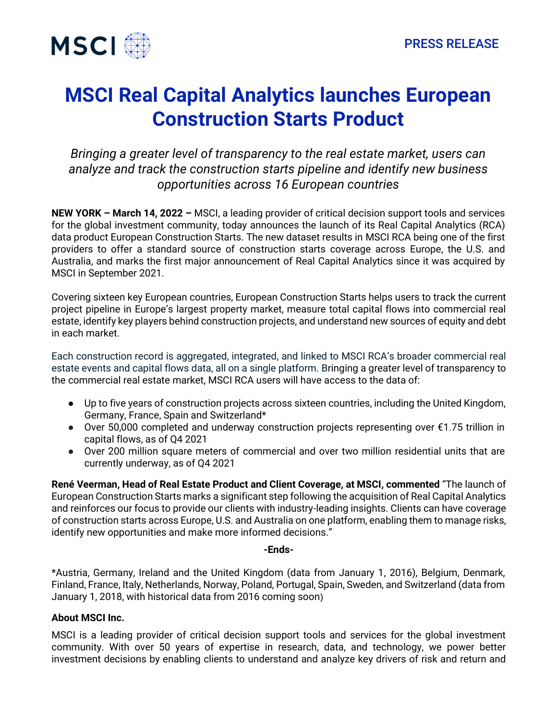

## **MSCI Real Capital Analytics launches European Construction Starts Product**

*Bringing a greater level of transparency to the real estate market, users can analyze and track the construction starts pipeline and identify new business opportunities across 16 European countries*

**NEW YORK – March 14, 2022 –** MSCI, a leading provider of critical decision support tools and services for the global investment community, today announces the launch of its Real Capital Analytics (RCA) data product European Construction Starts. The new dataset results in MSCI RCA being one of the first providers to offer a standard source of construction starts coverage across Europe, the U.S. and Australia, and marks the first major announcement of Real Capital Analytics since it was acquired by MSCI in September 2021.

Covering sixteen key European countries, European Construction Starts helps users to track the current project pipeline in Europe's largest property market, measure total capital flows into commercial real estate, identify key players behind construction projects, and understand new sources of equity and debt in each market.

Each construction record is aggregated, integrated, and linked to MSCI RCA's broader commercial real estate events and capital flows data, all on a single platform. Bringing a greater level of transparency to the commercial real estate market, MSCI RCA users will have access to the data of:

- Up to five years of construction projects across sixteen countries, including the United Kingdom, Germany, France, Spain and Switzerland\*
- Over 50,000 completed and underway construction projects representing over €1.75 trillion in capital flows, as of Q4 2021
- Over 200 million square meters of commercial and over two million residential units that are currently underway, as of Q4 2021

**René Veerman, Head of Real Estate Product and Client Coverage, at MSCI, commented** "The launch of European Construction Starts marks a significant step following the acquisition of Real Capital Analytics and reinforces our focus to provide our clients with industry-leading insights. Clients can have coverage of construction starts across Europe, U.S. and Australia on one platform, enabling them to manage risks, identify new opportunities and make more informed decisions."

## **-Ends-**

\*Austria, Germany, Ireland and the United Kingdom (data from January 1, 2016), Belgium, Denmark, Finland, France, Italy, Netherlands, Norway, Poland, Portugal, Spain, Sweden, and Switzerland (data from January 1, 2018, with historical data from 2016 coming soon)

## **About MSCI Inc.**

MSCI is a leading provider of critical decision support tools and services for the global investment community. With over 50 years of expertise in research, data, and technology, we power better investment decisions by enabling clients to understand and analyze key drivers of risk and return and